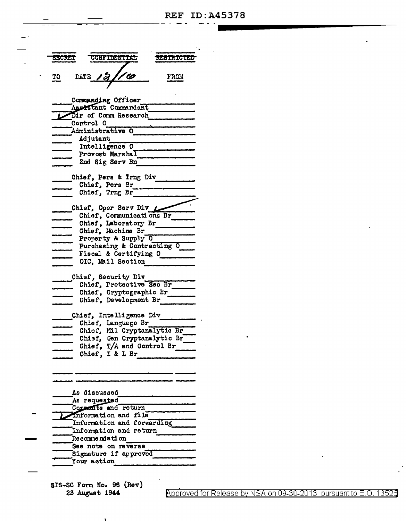| SECRET                                      |           | <b>CONFIDENTIAL</b>                        |                             | <b>RESTRICTED</b> |
|---------------------------------------------|-----------|--------------------------------------------|-----------------------------|-------------------|
| <u>TO</u>                                   |           | DATE 12/10                                 |                             | <b>FROM</b>       |
|                                             |           | Commanding Officer<br>Assistant Commandant |                             |                   |
|                                             | Control O | Dir of Comm Research                       |                             |                   |
|                                             |           | Administrative O                           |                             |                   |
|                                             | Adjutant  |                                            |                             |                   |
|                                             |           | Intelligence O                             |                             |                   |
|                                             |           | Provost Marshal                            |                             |                   |
|                                             |           | 2nd Sig Serv Bn                            |                             |                   |
|                                             |           | Chief, Pers & Trng Div                     |                             |                   |
|                                             |           | Chief, Pers Br                             |                             |                   |
|                                             |           | Chief, Trng Br                             |                             |                   |
|                                             |           |                                            |                             |                   |
|                                             |           | Chief, Oper Serv Div L                     |                             |                   |
|                                             |           |                                            | Chief, Communications Br    |                   |
|                                             |           | Chief, Laboratory Br<br>Chief, Machine Br  |                             |                   |
|                                             |           | Property & Supply O                        |                             |                   |
|                                             |           |                                            | Purchasing & Contracting O  |                   |
|                                             |           | Fiscal & Certifying O                      |                             |                   |
|                                             |           | OIC, Mail Section                          |                             |                   |
|                                             |           |                                            |                             |                   |
|                                             |           | Chief, Security Div                        |                             |                   |
|                                             |           |                                            | Chief, Protective Sec Br    |                   |
|                                             |           |                                            | Chief, Cryptographic Br     |                   |
|                                             |           | Chief, Development Br                      |                             |                   |
|                                             |           | Chief, Intelligence Div                    |                             |                   |
|                                             |           | Chief, Language Br                         |                             |                   |
|                                             |           |                                            | Chief, Mil Cryptanalytic Br |                   |
|                                             |           |                                            | Chief, Gen Cryptanalytic Br |                   |
|                                             |           |                                            | Chief, T/A and Control Br   |                   |
|                                             |           | Chief, I & L Br                            |                             |                   |
|                                             |           |                                            |                             |                   |
|                                             |           |                                            |                             |                   |
|                                             |           |                                            |                             |                   |
| As discussed                                |           |                                            |                             |                   |
| As requested                                |           |                                            |                             |                   |
| Comments and return<br>information and file |           |                                            |                             |                   |
| Information and forwarding                  |           |                                            |                             |                   |
| Information and return                      |           |                                            |                             |                   |
| <b>Recommendation</b>                       |           |                                            |                             |                   |
|                                             |           | See note on reverse                        |                             |                   |
| Signature if approved                       |           |                                            |                             |                   |

SIS-SC Form No. 96 (Rev) 23 August 1944

Your action

Approved for Release by NSA on 09-30-2013 pursuant to E.O. 13526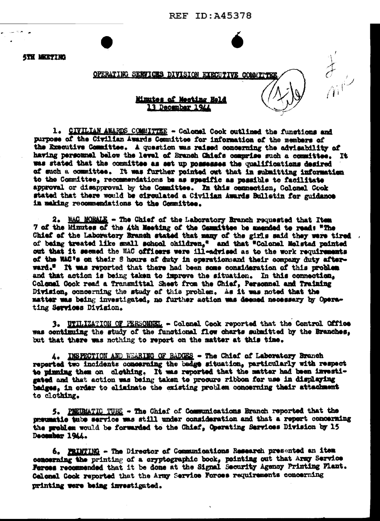**REF ID: A45378** 

 $\frac{1}{\sqrt{2}}$ 

**STH MEETING** 

## OPERATING SERVICES DIVISION EXECUTIVE COMMITTED

## Minutes of Meeting Held 13 December 1944

1. CIVILIAN AWARDS COMMITTEE - Colonel Cook outlined the functions and purpose of the Civilian Awards Committee for information of the members of the Executive Committee. A question was raised concerning the advisability of having personnel below the level of Branch Chiefs comprise such a committee. It was stated that the committee as set up possesses the qualifications desired of such a committee. It was further pointed out that in submitting information to the Committee, recommendations be as specific as possible to facilitate approval or disapproval by the Committee. In this connection, Golonel Cook stated that there would be circulated a Civilian Awards Bulletin for guidance in making recommendations to the Committee.

2. MAC MORALE - The Chief of the Laboratory Branch requested that Item 7 of the Minutes of the 4th Meeting of the Cammittee be amended to read: "The Chief of the Laboratory Branch stated that many of the girls said they were tired . of being treated like small school children," and that "Colonel Melstad pointed out that it seemed the WAC officers were ill-advised as to the work requirements of the WAC's on their S hours of duty in operationsand their company duty afterward." It was reported that there had been some consideration of this problem and that action is being taken to improve the situation. In this connection, Colonal Gook read a Transmittal Shest from the Chief, Personnel and Training Division, concerning the study of this problem. As it was noted that the matter was being investigated, no further action was deemed necessary by Operating Services Division.

3. WTILIZATION OF PERSONNEL - Colonel Cook reported that the Control Office was continuing the study of the functional flow charts submitted by the Branches. but that there was nothing to report on the matter at this time.

A. INSPECTION AND WEARING OF BADGES - The Chief of Laboratory Branch reported two incidents concerning the badge situation, particularly with respect to pinning them on clothing. It was reported that the matter had been investigated and that action was being taken to procure ribbon for use in displaying badges. in order to eliminate the existing problem concerning their attachment to clothing.

5. PEEDMATIC TUES - The Chief of Communications Branch reported that the preumatic tube service was still under consideration and that a report concerning the problem would be forwarded to the Chief, Operating Services Division by 15 December 1944.

6. PRINTING - The Director of Communications Research presented an item concerning the printing of a cryptographic book, pointing out that Army Service Ferces recommended that it be done at the Signal Security Agency Printing Plant. Colonal Cook reported that the Army Service Forces requirements concerning printing were being investigated.